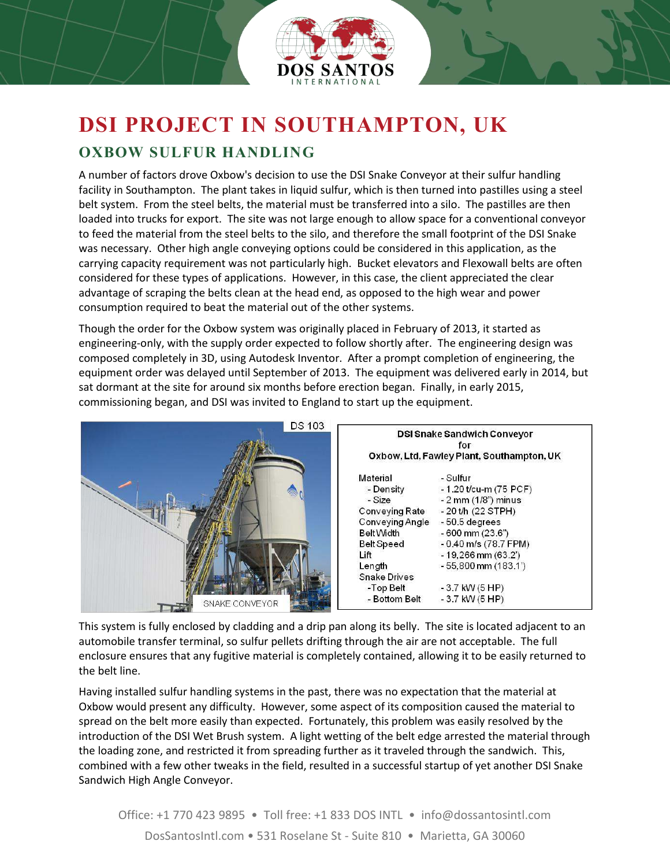

## **DSI PROJECT IN SOUTHAMPTON, UK OXBOW SULFUR HANDLING**

A number of factors drove Oxbow's decision to use the DSI Snake Conveyor at their sulfur handling facility in Southampton. The plant takes in liquid sulfur, which is then turned into pastilles using a steel belt system. From the steel belts, the material must be transferred into a silo. The pastilles are then loaded into trucks for export. The site was not large enough to allow space for a conventional conveyor to feed the material from the steel belts to the silo, and therefore the small footprint of the DSI Snake was necessary. Other high angle conveying options could be considered in this application, as the carrying capacity requirement was not particularly high. Bucket elevators and Flexowall belts are often considered for these types of applications. However, in this case, the client appreciated the clear advantage of scraping the belts clean at the head end, as opposed to the high wear and power consumption required to beat the material out of the other systems.

Though the order for the Oxbow system was originally placed in February of 2013, it started as engineering-only, with the supply order expected to follow shortly after. The engineering design was composed completely in 3D, using Autodesk Inventor. After a prompt completion of engineering, the equipment order was delayed until September of 2013. The equipment was delivered early in 2014, but sat dormant at the site for around six months before erection began. Finally, in early 2015, commissioning began, and DSI was invited to England to start up the equipment.



This system is fully enclosed by cladding and a drip pan along its belly. The site is located adjacent to an automobile transfer terminal, so sulfur pellets drifting through the air are not acceptable. The full enclosure ensures that any fugitive material is completely contained, allowing it to be easily returned to the belt line.

Having installed sulfur handling systems in the past, there was no expectation that the material at Oxbow would present any difficulty. However, some aspect of its composition caused the material to spread on the belt more easily than expected. Fortunately, this problem was easily resolved by the introduction of the DSI Wet Brush system. A light wetting of the belt edge arrested the material through the loading zone, and restricted it from spreading further as it traveled through the sandwich. This, combined with a few other tweaks in the field, resulted in a successful startup of yet another DSI Snake Sandwich High Angle Conveyor.

Office: +1 770 423 9895 • Toll free: +1 833 DOS INTL • info@dossantosintl.com DosSantosIntl.com • 531 Roselane St - Suite 810 • Marietta, GA 30060